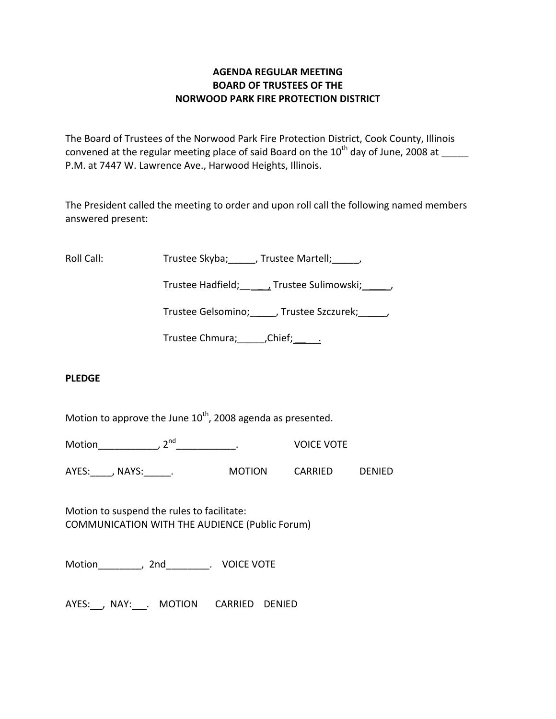# **AGENDA REGULAR MEETING BOARD OF TRUSTEES OF THE NORWOOD PARK FIRE PROTECTION DISTRICT**

The Board of Trustees of the Norwood Park Fire Protection District, Cook County, Illinois convened at the regular meeting place of said Board on the 10<sup>th</sup> day of June, 2008 at P.M. at 7447 W. Lawrence Ave., Harwood Heights, Illinois.

The President called the meeting to order and upon roll call the following named members answered present:

Roll Call: Trustee Skyba; \_\_\_\_, Trustee Martell; \_\_\_\_,

Trustee Hadfield; Frustee Sulimowski; 3.1.

Trustee Gelsomino; \_\_\_\_\_, Trustee Szczurek; \_\_\_\_\_,

Trustee Chmura; \_\_\_\_\_\_, Chief; \_\_\_\_\_\_.

# **PLEDGE**

Motion to approve the June  $10^{th}$ , 2008 agenda as presented.

Motion\_\_\_\_\_\_\_\_\_\_\_\_, 2<sup>nd</sup> \_\_\_\_\_\_\_\_\_\_\_. VOICE VOTE

AYES: , NAYS: . MOTION CARRIED DENIED

Motion to suspend the rules to facilitate: COMMUNICATION WITH THE AUDIENCE (Public Forum)

Motion \_\_\_\_\_\_\_, 2nd\_\_\_\_\_\_\_\_\_. VOICE VOTE

AYES: , NAY: . MOTION CARRIED DENIED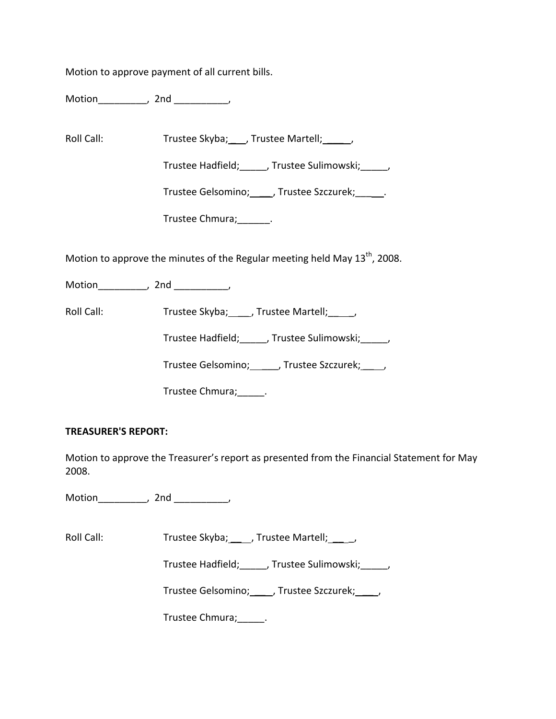Motion to approve payment of all current bills.

Motion\_\_\_\_\_\_\_\_\_, 2nd \_\_\_\_\_\_\_\_\_\_,

Roll Call: Trustee Skyba; \_\_\_, Trustee Martell; \_\_\_\_\_,

Trustee Hadfield;\_\_\_\_\_, Trustee Sulimowski;\_\_\_\_\_,

Trustee Gelsomino; \_\_\_\_\_, Trustee Szczurek; \_\_\_\_\_\_.

Trustee Chmura;\_\_\_\_\_\_.

Motion to approve the minutes of the Regular meeting held May  $13^{th}$ , 2008.

Motion\_\_\_\_\_\_\_\_\_\_, 2nd \_\_\_\_\_\_\_\_\_,

Roll Call: Trustee Skyba; \_\_\_, Trustee Martell; \_\_\_,

Trustee Hadfield;\_\_\_\_\_, Trustee Sulimowski;\_\_\_\_\_,

Trustee Gelsomino; \_\_\_\_\_, Trustee Szczurek; \_\_\_\_,

Trustee Chmura;\_\_\_\_\_.

# **TREASURER'S REPORT:**

Motion to approve the Treasurer's report as presented from the Financial Statement for May 2008.

Motion\_\_\_\_\_\_\_\_\_, 2nd \_\_\_\_\_\_\_\_\_\_,

Roll Call: Trustee Skyba; J. Trustee Martell; J.

Trustee Hadfield; frustee Sulimowski; frustee Hadfield;

Trustee Gelsomino; \_\_\_\_, Trustee Szczurek; \_\_\_\_,

Trustee Chmura;\_\_\_\_\_.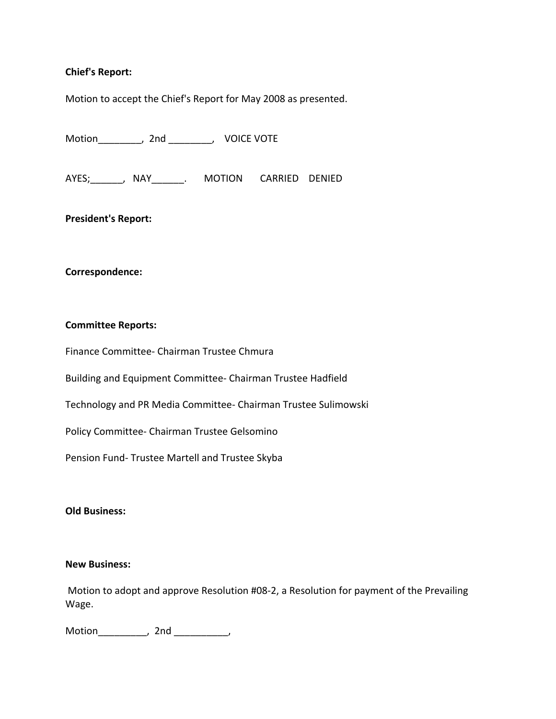## **Chief's Report:**

Motion to accept the Chief's Report for May 2008 as presented.

Motion\_\_\_\_\_\_\_\_, 2nd \_\_\_\_\_\_\_\_, VOICE VOTE

AYES; The AVES of ANAY AND ARRIED DENIED

**President's Report:**

#### **Correspondence:**

#### **Committee Reports:**

Finance Committee‐ Chairman Trustee Chmura

Building and Equipment Committee‐ Chairman Trustee Hadfield

Technology and PR Media Committee‐ Chairman Trustee Sulimowski

Policy Committee‐ Chairman Trustee Gelsomino

Pension Fund‐ Trustee Martell and Trustee Skyba

## **Old Business:**

### **New Business:**

Motion to adopt and approve Resolution #08‐2, a Resolution for payment of the Prevailing Wage.

Motion\_\_\_\_\_\_\_\_\_, 2nd \_\_\_\_\_\_\_\_\_\_,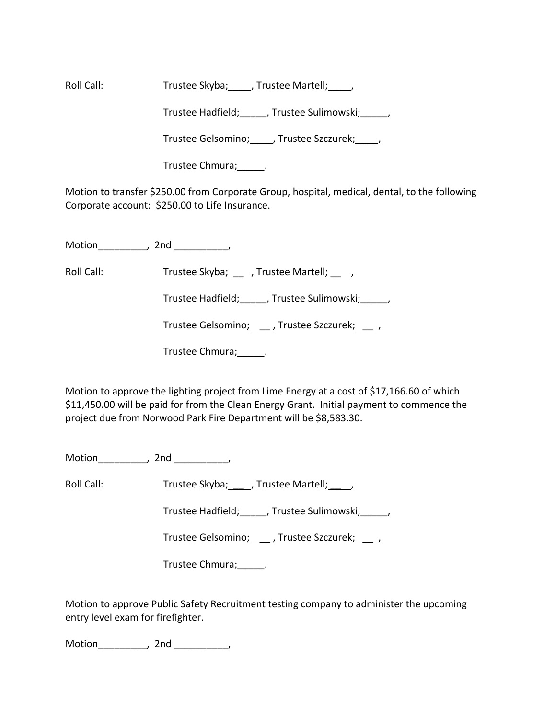Roll Call: Trustee Skyba; \_\_\_, Trustee Martell; \_\_\_\_,

Trustee Hadfield; frustee Sulimowski; frustee Sulimowski;

Trustee Gelsomino; \_\_\_\_, Trustee Szczurek; \_\_\_\_,

Trustee Chmura;\_\_\_\_\_.

Motion to transfer \$250.00 from Corporate Group, hospital, medical, dental, to the following Corporate account: \$250.00 to Life Insurance.

Motion the motion of the motion of the motion of the motion of the motion of the motion of the motion of the m<br>Second motion of the motion of the motion of the motion of the motion of the motion of the motion of the motio<br>

Roll Call: Trustee Skyba; \_\_\_\_, Trustee Martell; \_\_\_\_,

Trustee Hadfield; frustee Sulimowski; frustee Hadfield;

Trustee Gelsomino; \_\_\_ , Trustee Szczurek; \_\_\_ ,

Trustee Chmura;\_\_\_\_\_.

Motion to approve the lighting project from Lime Energy at a cost of \$17,166.60 of which \$11,450.00 will be paid for from the Clean Energy Grant. Initial payment to commence the project due from Norwood Park Fire Department will be \$8,583.30.

Motion\_\_\_\_\_\_\_\_\_, 2nd \_\_\_\_\_\_\_\_\_\_,

Roll Call: Trustee Skyba; \_\_\_ , Trustee Martell; \_\_\_ ,

Trustee Hadfield; frustee Sulimowski; frustee Hadfield;

Trustee Gelsomino; \_\_\_\_, Trustee Szczurek; \_\_\_\_,

Trustee Chmura;\_\_\_\_\_.

Motion to approve Public Safety Recruitment testing company to administer the upcoming entry level exam for firefighter.

Motion\_\_\_\_\_\_\_\_\_, 2nd \_\_\_\_\_\_\_\_\_\_,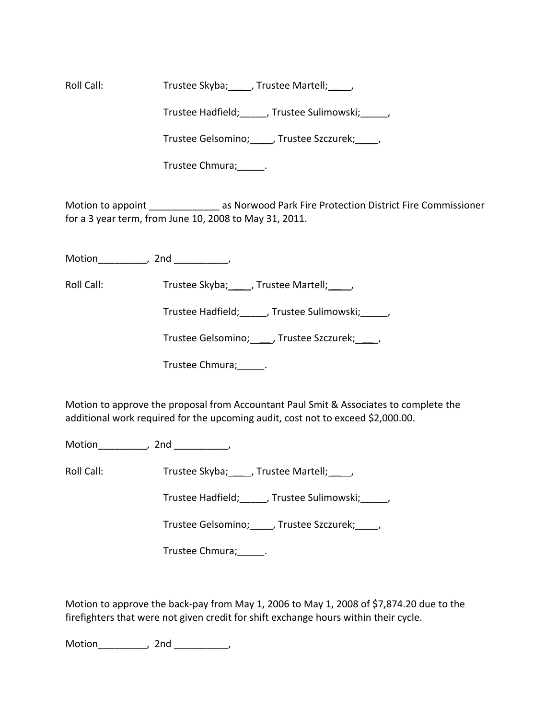Roll Call: Trustee Skyba; \_\_\_ , Trustee Martell; \_\_\_ ,

Trustee Hadfield; frustee Sulimowski; frustee Sulimowski;

Trustee Gelsomino; \_\_\_\_, Trustee Szczurek; \_\_\_\_,

Trustee Chmura;\_\_\_\_\_.

Motion to appoint **All as Norwood Park Fire Protection District Fire Commissioner** for a 3 year term, from June 10, 2008 to May 31, 2011.

Motion\_\_\_\_\_\_\_\_\_, 2nd \_\_\_\_\_\_\_\_\_\_,

Roll Call: Trustee Skyba; \_\_\_ , Trustee Martell; \_\_\_ ,

Trustee Hadfield;\_\_\_\_\_, Trustee Sulimowski;\_\_\_\_\_,

Trustee Gelsomino; \_\_\_\_\_, Trustee Szczurek; \_\_\_\_\_,

Trustee Chmura;\_\_\_\_\_.

Motion to approve the proposal from Accountant Paul Smit & Associates to complete the additional work required for the upcoming audit, cost not to exceed \$2,000.00.

Motion\_\_\_\_\_\_\_\_\_\_, 2nd \_\_\_\_\_\_\_,

Roll Call: Trustee Skyba; \_\_\_, Trustee Martell; \_\_\_\_,

Trustee Hadfield;\_\_\_\_\_, Trustee Sulimowski;\_\_\_\_\_,

Trustee Gelsomino; \_\_\_\_\_, Trustee Szczurek; \_\_\_\_\_,

Trustee Chmura;\_\_\_\_\_.

Motion to approve the back‐pay from May 1, 2006 to May 1, 2008 of \$7,874.20 due to the firefighters that were not given credit for shift exchange hours within their cycle.

Motion\_\_\_\_\_\_\_\_\_, 2nd \_\_\_\_\_\_\_\_\_\_,